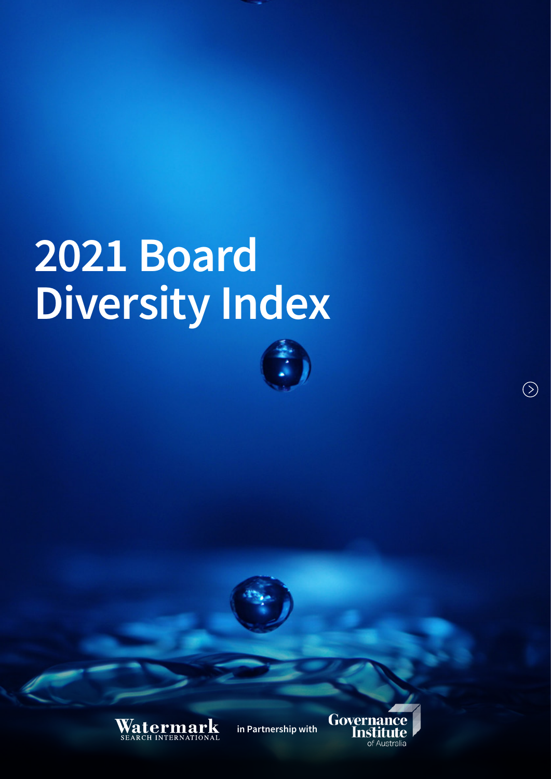# 2021 Board Diversity Index





in Partnership with



 $\circledcirc$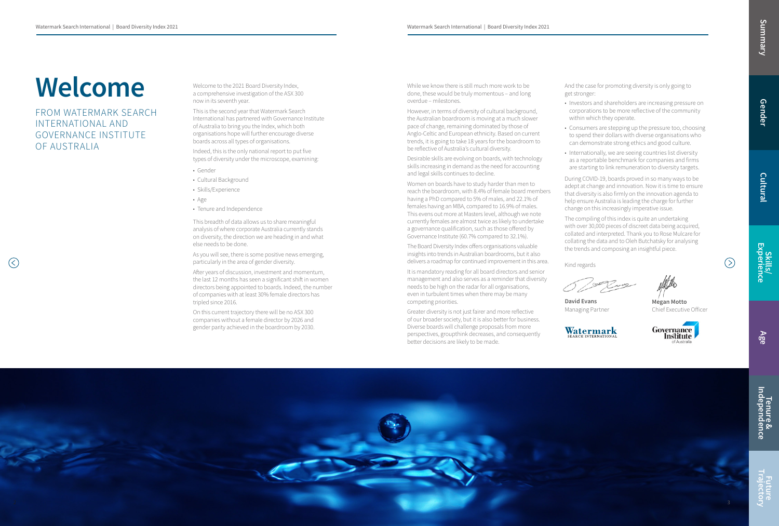

David Evans Managing Partner





Megan Motto Chief Executive Officer



# Welcome

FROM WATERMARK SEARCH INTERNATIONAL AND GOVERNANCE INSTITUTE OF AUSTRALIA

 $(\lt)$ 

Welcome to the 2021 Board Diversity Index, a comprehensive investigation of the ASX 300 now in its seventh year.

This is the second year that Watermark Search International has partnered with Governance Institute of Australia to bring you the Index, which both organisations hope will further encourage diverse boards across all types of organisations.

Indeed, this is the only national report to put five types of diversity under the microscope, examining:

- Gender
- Cultural Background
- Skills/Experience
- Age
- Tenure and Independence

This breadth of data allows us to share meaningful analysis of where corporate Australia currently stands on diversity, the direction we are heading in and what else needs to be done.

As you will see, there is some positive news emerging, particularly in the area of gender diversity.

After years of discussion, investment and momentum, the last 12 months has seen a significant shift in women directors being appointed to boards. Indeed, the number of companies with at least 30% female directors has tripled since 2016.

On this current trajectory there will be no ASX 300 companies without a female director by 2026 and gender parity achieved in the boardroom by 2030.

While we know there is still much more work to be done, these would be truly momentous – and long overdue – milestones.

However, in terms of diversity of cultural background, the Australian boardroom is moving at a much slower pace of change, remaining dominated by those of Anglo-Celtic and European ethnicity. Based on current trends, it is going to take 18 years for the boardroom to be reflective of Australia's cultural diversity.

Desirable skills are evolving on boards, with technology skills increasing in demand as the need for accounting and legal skills continues to decline.

Skills/<br>Experience Future Trajectory Summary

 $( )$ 

Women on boards have to study harder than men to reach the boardroom, with 8.4% of female board members having a PhD compared to 5% of males, and 22.1% of females having an MBA, compared to 16.9% of males. This evens out more at Masters level, although we note currently females are almost twice as likely to undertake a governance qualification, such as those offered by Governance Institute (60.7% compared to 32.1%).

The Board Diversity Index offers organisations valuable insights into trends in Australian boardrooms, but it also delivers a roadmap for continued improvement in this area.

It is mandatory reading for all board directors and senior management and also serves as a reminder that diversity needs to be high on the radar for all organisations, even in turbulent times when there may be many competing priorities.

Greater diversity is not just fairer and more reflective of our broader society, but it is also better for business. Diverse boards will challenge proposals from more perspectives, groupthink decreases, and consequently better decisions are likely to be made.

And the case for promoting diversity is only going to get stronger:

- Investors and shareholders are increasing pressure on corporations to be more reflective of the community within which they operate.
- Consumers are stepping up the pressure too, choosing to spend their dollars with diverse organisations who can demonstrate strong ethics and good culture.
- Internationally, we are seeing countries list diversity as a reportable benchmark for companies and firms are starting to link remuneration to diversity targets.

During COVID-19, boards proved in so many ways to be adept at change and innovation. Now it is time to ensure that diversity is also firmly on the innovation agenda to help ensure Australia is leading the charge for further change on this increasingly imperative issue.

The compiling of this index is quite an undertaking with over 30,000 pieces of discreet data being acquired, collated and interpreted. Thank you to Rose Mulcare for collating the data and to Oleh Butchatsky for analysing the trends and composing an insightful piece.

Kind regards

Cultural

Age

Tenure &<br>Independence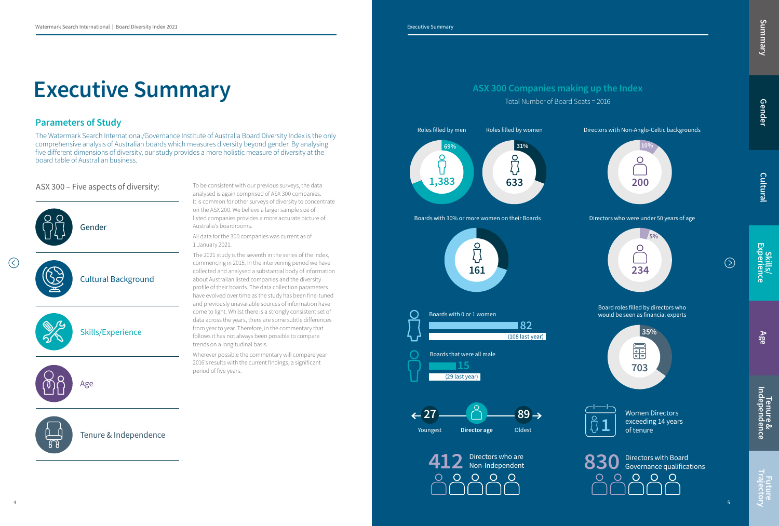$\mathcal{L}$ 

The Watermark Search International/Governance Institute of Australia Board Diversity Index is the only comprehensive analysis of Australian boards which measures diversity beyond gender. By analysing five different dimensions of diversity, our study provides a more holistic measure of diversity at the board table of Australian business.

## Executive Summary

## Parameters of Study



## ASX 300 – Five aspects of diversity:



To be consistent with our previous surveys, the data analysed is again comprised of ASX 300 companies. It is common for other surveys of diversity to concentrate on the ASX 200. We believe a larger sample size of listed companies provides a more accurate picture of Australia's boardrooms.

All data for the 300 companies was current as of 1 January 2021.

> Women Directors exceeding 14 years<br>of tenure

Tenure &<br>Independence Future Trajectory Summary

Future<br>Trajector)

The 2021 study is the seventh in the series of the Index, commencing in 2015. In the intervening period we have collected and analysed a substantial body of information about Australian listed companies and the diversity profile of their boards. The data collection parameters have evolved over time as the study has been fine-tuned and previously unavailable sources of information have come to light. Whilst there is a strongly consistent set of data across the years, there are some subtle differences from year to year. Therefore, in the commentary that follows it has not always been possible to compare trends on a longitudinal basis.

Wherever possible the commentary will compare year 2016's results with the current findings, a significant period of five years.

Directors who were under 50 years of age

Total Number of Board Seats = 2016

Board roles filled by directors who would be seen as financial experts

Directors with Non-Anglo-Celtic backgrounds













Summary

Gender

Cultural

Skills/<br>Experience

 $\circledcirc$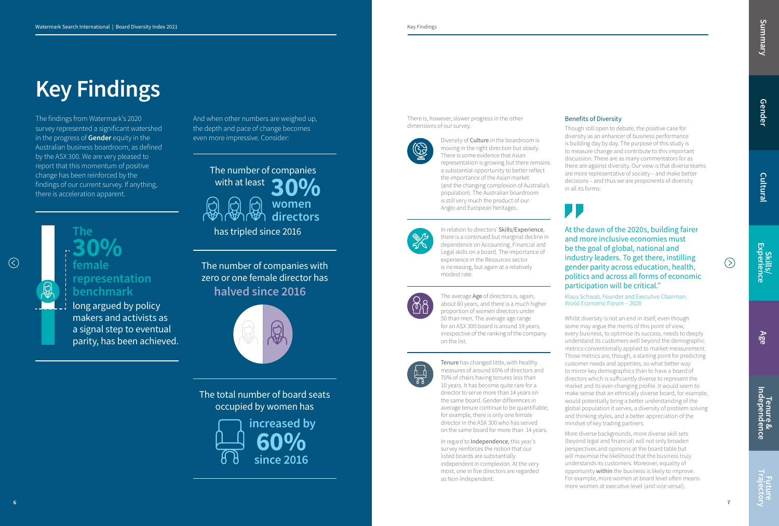$\odot$ 

7

## Key Findings

The findings from Watermark's 2020 survey represented a significant watershed in the progress of **Gender** equity in the Australian business boardroom, as defined by the ASX 300. We are very pleased to report that this momentum of positive change has been reinforced by the findings of our current survey. If anything, there is acceleration apparent.

There is, however, slower progress in the other dimensions of our survey.



Diversity of Culture in the boardroom is moving in the right direction but slowly. There is some evidence that Asian representation is growing but there remains a substantial opportunity to better reflect the importance of the Asian market (and the changing complexion of Australia's population). The Australian boardroom is still very much the product of our Anglo and European heritages.



In regard to **Independence**, this year's survey reinforces the notion that our listed boards are substantially independent in complexion. At the very most, one in five directors are regarded as Non-Independent.

In relation to directors' Skills/Experience, there is a continued but marginal decline in dependence on Accounting, Financial and Legal skills on a board. The importance of experience in the Resources sector is increasing, but again at a relatively modest rate.



The average Age of directors is, again, about 60 years, and there is a much higher proportion of women directors under 50 than men. The average age range for an ASX 300 board is around 19 years, irrespective of the ranking of the company on the list.



Tenure has changed little, with healthy measures of around 65% of directors and 70% of chairs having tenures less than 10 years. It has become quite rare for a director to serve more than 14 years on the same board. Gender differences in average tenure continue to be quantifiable; for example, there is only one female director in the ASX 300 who has served on the same board for more than 14 years.

The total number of board seats occupied by women has

And when other numbers are weighed up, the depth and pace of change becomes even more impressive. Consider:

The number of companies with zero or one female director has halved since 2016



 increased by 60% since 2016

Tenure &<br>Independence Future Trajectory Summary

At the dawn of the 2020s, building fairer and more inclusive economies must be the goal of global, national and industry leaders. To get there, instilling gender parity across education, health, politics and across all forms of economic participation will be critical."

Klaus Schwab, Founder and Executive Chairman, World Economic Forum – 2020

## Benefits of Diversity

Though still open to debate, the positive case for diversity as an enhancer of business performance is building day by day. The purpose of this study is to measure change and contribute to this important discussion. There are as many commentators for as there are against diversity. Our view is that diverse teams are more representative of society – and make better decisions – and thus we are proponents of diversity in all its forms.



Whilst diversity is not an end in itself, even though some may argue the merits of this point of view, every business, to optimise its success, needs to deeply understand its customers well beyond the demographic metrics conventionally applied to market-measurement. Those metrics are, though, a starting point for predicting customer needs and appetites, so what better way to mirror key demographics than to have a board of directors which is sufficiently diverse to represent the market and its ever-changing profile. It would seem to make sense that an ethnically diverse board, for example, would potentially bring a better understanding of the global population it serves, a diversity of problem solving and thinking styles, and a better appreciation of the mindset of key trading partners.

More diverse backgrounds, more diverse skill sets (beyond legal and financial) will not only broaden perspectives and opinions at the board table but will maximise the likelihood that the business truly understands its customers. Moreover, equality of opportunity within the business is likely to improve. For example, more women at board level often means more women at executive level (and vice versa!).

 $(>)$ 

The

30% female

## representation benchmark

long argued by policy makers and activists as a signal step to eventual parity, has been achieved.

women directors





has tripled since 2016

Gender

Cultural

Skills/ Experience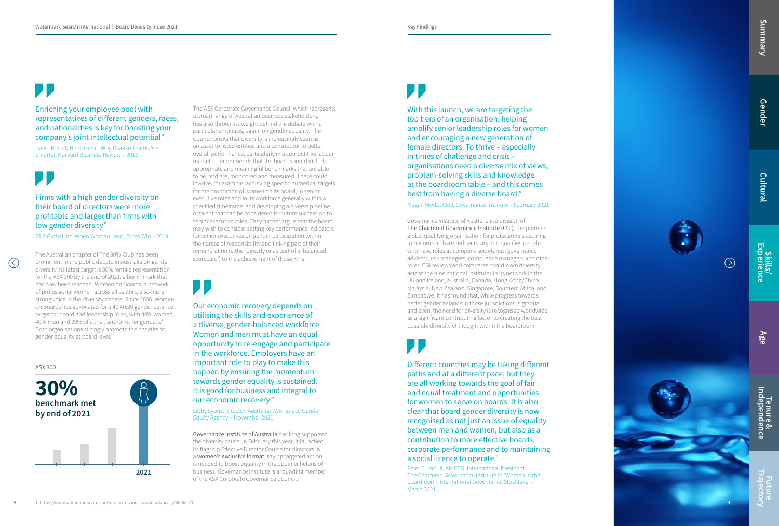## Enriching your employee pool with representatives of different genders, races, and nationalities is key for boosting your company's joint intellectual potential"

David Rock & Heidi Grant, Why Diverse Teams Are Smarter, Harvard Business Review – 2016

 $\left(\right)$ 

## Firms with a high gender diversity on their board of directors were more profitable and larger than firms with low gender diversity"

S&P Global Inc, When Women Lead, Firms Win – 2019

## Our economic recovery depends on utilising the skills and experience of a diverse, gender-balanced workforce. Women and men must have an equal opportunity to re-engage and participate in the workforce. Employers have an important role to play to make this happen by ensuring the momentum towards gender equality is sustained. It is good for business and integral to our economic recovery."

Libby Lyons, Director, Australian Workplace Gender Equity Agency – November 2020

The Australian chapter of The 30% Club has been prominent in the public debate in Australia on gender diversity. Its latest target is 30% female representation for the ASX 300 by the end of 2021, a benchmark that has now been reached. Women on Boards, a network of professional women across all sectors, also has a strong voice in the diversity debate. Since 2006, Women on Boards has advocated for a 40:40:20 gender balance target for board and leadership roles, with 40% women, 40% men and 20% of either, and/or other genders. 1 Both organisations strongly promote the benefits of gender equality at board level.

The ASX Corporate Governance Council which represents a broad range of Australian business stakeholders, has also thrown its weight behind the debate with a particular emphasis, again, on gender equality. The Council posits that diversity is increasingly seen as an asset to listed entities and a contributor to better overall performance, particularly in a competitive labour market. It recommends that the board should include appropriate and meaningful benchmarks that are able to be, and are, monitored and measured. These could involve, for example, achieving specific numerical targets for the proportion of women on its board, in senior executive roles and in its workforce generally within a specified timeframe, and developing a diverse pipeline of talent that can be considered for future succession to senior executive roles. They further argue that the board may wish to consider setting key performance indicators for senior executives on gender participation within their areas of responsibility and linking part of their remuneration (either directly or as part of a 'balanced scorecard') to the achievement of those KPIs.

D D



Governance Institute of Australia has long supported the diversity cause. In February this year, it launched its flagship Effective Director Course for directors in a women's exclusive format, saying targeted action is needed to boost equality in the upper echelons of business. Governance Institute is a founding member of the ASX Corporate Governance Council.

## $\blacksquare$

With this launch, we are targeting the top tiers of an organisation, helping amplify senior leadership roles for women and encouraging a new generation of female directors. To thrive – especially in times of challenge and crisis – organisations need a diverse mix of views, problem-solving skills and knowledge at the boardroom table – and this comes best from having a diverse board."

Megan Motto, CEO, Governance Institute – February 2021

Different countries may be taking different paths and at a different pace, but they are all working towards the goal of fair and equal treatment and opportunities for women to serve on boards. It is also clear that board gender diversity is now recognised as not just an issue of equality between men and women, but also as a contribution to more effective boards, corporate performance and to maintaining a social licence to operate."

Peter Turnbull, AM FCG, International President, The Chartered Governance Institute in 'Women in the boardroom: International Governance Stocktake' – March 2021

Governance Institute of Australia is a division of The Chartered Governance Institute (CGI), the premier global qualifying organisation for professionals aspiring to become a chartered secretary and qualifies people who have roles as company secretaries, governance advisers, risk managers, compliance managers and other roles. CGI reviews and compares boardroom diversity across the nine national institutes in its network in the UK and Ireland, Australia, Canada, Hong Kong/China, Malaysia, New Zealand, Singapore, Southern Africa, and Zimbabwe. It has found that, while progress towards better gender balance in these jurisdictions is gradual and even, the need for diversity is recognised worldwide as a significant contributing factor to creating the best possible diversity of thought within the boardroom.

## $\blacksquare$



## ASX 300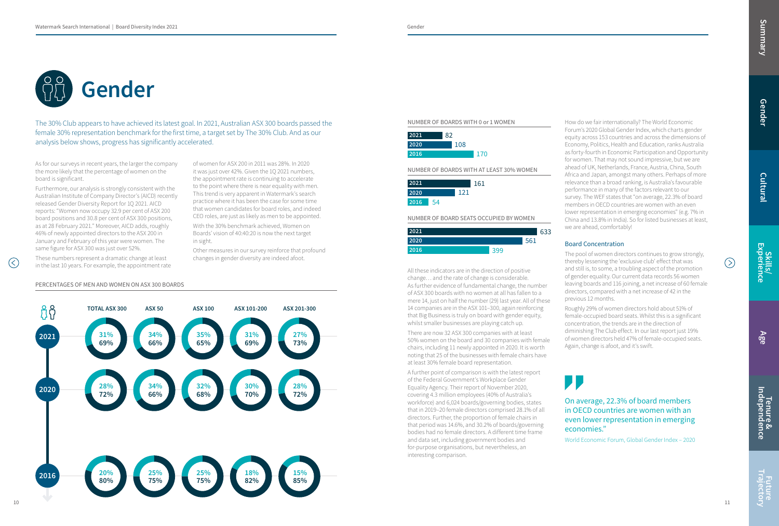

The 30% Club appears to have achieved its latest goal. In 2021, Australian ASX 300 boards passed the female 30% representation benchmark for the first time, a target set by The 30% Club. And as our analysis below shows, progress has significantly accelerated.

> All these indicators are in the direction of positive change… and the rate of change is considerable. As further evidence of fundamental change, the number of ASX 300 boards with no women at all has fallen to a mere 14, just on half the number (29) last year. All of these 14 companies are in the ASX 101–300, again reinforcing that Big Business is truly on board with gender equity, whilst smaller businesses are playing catch up.

> There are now 32 ASX 300 companies with at least 50% women on the board and 30 companies with female chairs, including 11 newly appointed in 2020. It is worth noting that 25 of the businesses with female chairs have at least 30% female board representation.

A further point of comparison is with the latest report of the Federal Government's Workplace Gender Equality Agency. Their report of November 2020, covering 4.3 million employees (40% of Australia's workforce) and 6,024 boards/governing bodies, states that in 2019–20 female directors comprised 28.1% of all directors. Further, the proportion of female chairs in that period was 14.6%, and 30.2% of boards/governing bodies had no female directors. A different time frame and data set, including government bodies and for-purpose organisations, but nevertheless, an interesting comparison.

 $\mathcal{L}$ 



How do we fair internationally? The World Economic Forum's 2020 Global Gender Index, which charts gender equity across 153 countries and across the dimensions of Economy, Politics, Health and Education, ranks Australia as forty-fourth in Economic Participation and Opportunity for women. That may not sound impressive, but we are ahead of UK, Netherlands, France, Austria, China, South Africa and Japan, amongst many others. Perhaps of more relevance than a broad ranking, is Australia's favourable performance in many of the factors relevant to our survey. The WEF states that "on average, 22.3% of board members in OECD countries are women with an even lower representation in emerging economies" (e.g. 7% in China and 13.8% in India). So for listed businesses at least, we are ahead, comfortably!

## Board Concentration

**Tenure &<br>Independence** Future Trajectory Summary

**Future<br>Trajectory** 

The pool of women directors continues to grow strongly, thereby lessening the 'exclusive club' effect that was and still is, to some, a troubling aspect of the promotion of gender equality. Our current data records 56 women leaving boards and 116 joining, a net increase of 60 female directors, compared with a net increase of 42 in the previous 12 months.

Roughly 29% of women directors hold about 51% of female-occupied board seats. Whilst this is a significant concentration, the trends are in the direction of diminishing The Club effect. In our last report just 19% of women directors held 47% of female-occupied seats. Again, change is afoot, and it's swift.

PERCENTAGES OF MEN AND WOMEN ON ASX 300 BOARDS

As for our surveys in recent years, the larger the company the more likely that the percentage of women on the board is significant.

Furthermore, our analysis is strongly consistent with the Australian Institute of Company Director's (AICD) recently released Gender Diversity Report for 1Q 2021. AICD reports: "Women now occupy 32.9 per cent of ASX 200 board positions and 30.8 per cent of ASX 300 positions, as at 28 February 2021." Moreover, AICD adds, roughly 46% of newly appointed directors to the ASX 200 in January and February of this year were women. The same figure for ASX 300 was just over 52%.

These numbers represent a dramatic change at least in the last 10 years. For example, the appointment rate of women for ASX 200 in 2011 was 28%. In 2020 it was just over 42%. Given the 1Q 2021 numbers, the appointment rate is continuing to accelerate to the point where there is near equality with men. This trend is very apparent in Watermark's search practice where it has been the case for some time that women candidates for board roles, and indeed CEO roles, are just as likely as men to be appointed.

With the 30% benchmark achieved, Women on Boards' vision of 40:40:20 is now the next target in sight.

Other measures in our survey reinforce that profound changes in gender diversity are indeed afoot.

> On average, 22.3% of board members in OECD countries are women with an even lower representation in emerging economies."

> World Economic Forum, Global Gender Index – 2020

 $( )$ 

## NUMBER OF BOARDS WITH 0 or 1 WOMEN

NUMBER OF BOARD SEATS OCCUPIED BY WOMEN



NUMBER OF BOARDS WITH AT LEAST 30% WOMEN

| 2021 |     |     | 161 |  |
|------|-----|-----|-----|--|
| 2020 |     | 121 |     |  |
| 2016 | -54 |     |     |  |

| 2021 | 82  |     |
|------|-----|-----|
| 2020 | 108 |     |
| 2016 |     | 170 |

Gender

Cultural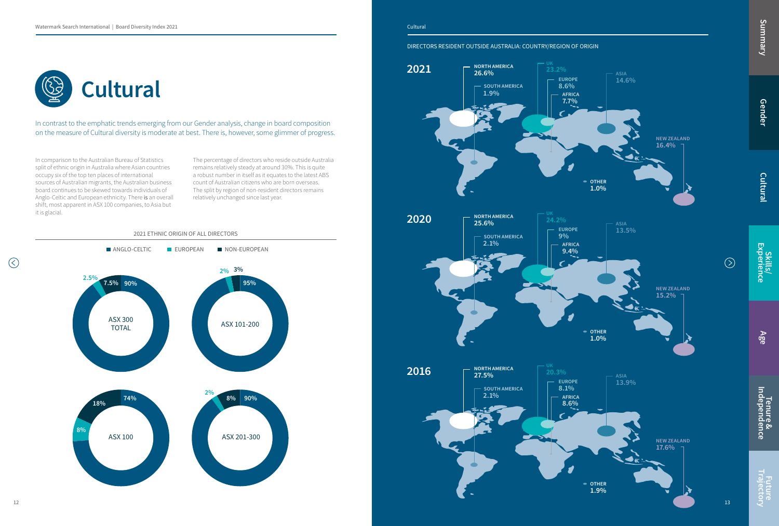In comparison to the Australian Bureau of Statistics split of ethnic origin in Australia where Asian countries occupy six of the top ten places of international sources of Australian migrants, the Australian business board continues to be skewed towards individuals of Anglo-Celtic and European ethnicity. There is an overall shift, most apparent in ASX 100 companies, to Asia but it is glacial.

The percentage of directors who reside outside Australia remains relatively steady at around 30%. This is quite a robust number in itself as it equates to the latest ABS count of Australian citizens who are born overseas. The split by region of non-resident directors remains relatively unchanged since last year.



Tenure &<br>Independence Future Trajectory Summary

Future<br>Trajectory

In contrast to the emphatic trends emerging from our Gender analysis, change in board composition on the measure of Cultural diversity is moderate at best. There is, however, some glimmer of progress.





DIRECTORS RESIDENT OUTSIDE AUSTRALIA: COUNTRY/REGION OF ORIGIN

Gender

Summary

Cultural

Skills/<br>Experience

 $\circledcirc$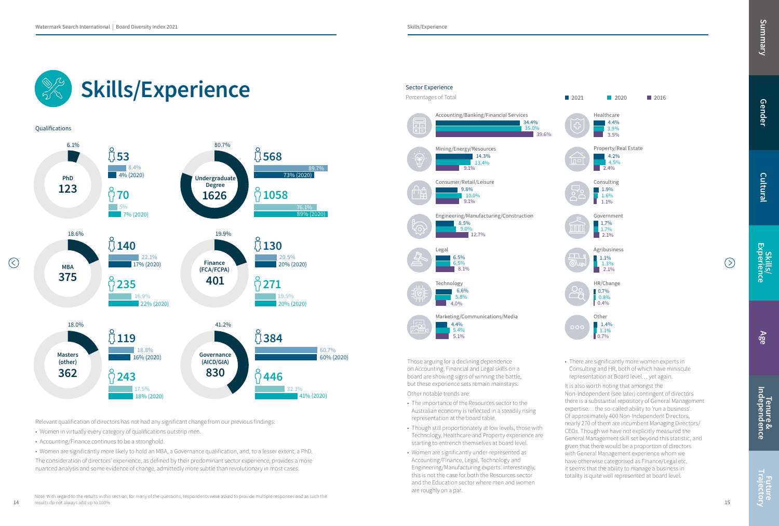Skills/Experience

14

 $\odot$ 

Note: With regard to the results in this section, for many of the questions, respondents were asked to provide multiple responses and as such the results do not always add up to 100%

• There are significantly more women experts in Consulting and HR, both of which have miniscule representation at Board level… yet again.

It is also worth noting that amongst the Non-Independent (see later) contingent of directors there is a substantial repository of General Management expertise… the so-called ability to 'run a business'. Of approximately 400 Non-Independent Directors, nearly 270 of them are incumbent Managing Directors/ CEOs. Though we have not explicitly measured the General Management skill set beyond this statistic, and given that there would be a proportion of directors with General Management experience whom we have otherwise categorised as Finance/Legal etc, it seems that the ability to manage a business in totality is quite well represented at board level.

Summary

Those arguing for a declining dependence on Accounting, Financial and Legal skills on a board are showing signs of winning the battle, but these experience sets remain mainstays.

- The importance of the Resources sector to the Australian economy is reflected in a steadily rising representation at the board table.
- Though still proportionately at low levels, those with Technology, Healthcare and Property experience are starting to entrench themselves at board level.
- Women are significantly under-represented as Accounting/Finance, Legal, Technology and Engineering/Manufacturing experts. Interestingly, this is not the case for both the Resources sector and the Education sector where men and women are roughly on a par.

### Skills/Experience Sector Experience Percentages of Total  $\overline{+1-}$ **Qualifications**  $6.1\%$  80.7%  $\sqrt{53}$   $\sqrt{568}$ 8.4% 89.7%  $\frac{4\%}{2020}$ 73% (2020) PhD Undergraduate Degree 123  $\frac{1626}{1626}$   $\frac{1058}{1058}$ 1626 5% 89% (2020 7% (2020) 18.6% 19.9%  $\sqrt[3]{140}$   $\sqrt[3]{130}$ Legal 22.1% 20.5% 6.5% Finance  $5.5\%$ 17% (2020) **20% Finance 20% (2020)** MBA (FCA/FCPA) 375  $9235$  $401$   $\frac{6}{271}$ Technology 16.9% 19.5% 19.5% 19.5% 19.5% 19.5% 19.5% 19.5% 19.5% 19.5% 19.5% 19.5% 19.5% 19.5% 19.5% 19.5% 19.5% 19.5% 19 22% (2020) 20% (2020)  $4.0\%$ 4.4% 18.0% 41.2% 5.4%  $\hat{1}$ 119  $\hat{1}$  384 5.1% 18.8% 60.7% 60.7% Governance Masters 16% (2020) **60% (2020) 60% (2020) 60% (2020)** (other) (AICD/GIA) 830  $\int \frac{6}{1}446$ 362  $\int \frac{6}{1} 243$ 17.5% 32.1% Other notable trends are: 18% (2020) 41% (2020)

Tenure &<br>Independence Future Trajectory Summary

Future<br>Trajectory



Accounting/Banking/Financial Services Mining/Energy/Resources Consumer/Retail/Leisure Engineering/Manufacturing/Construction Marketing/Communications/Media 34.4% 14.3%  $\overline{39.6\%}$ 35.0% 13.4% 9.1% 9.8% 10.0% 9.1% 8.5% 9.0% 12.7% 8.1% 6.6% 5.8%

Relevant qualification of directors has not had any significant change from our previous findings:

- Women in virtually every category of qualifications outstrip men.
- Accounting/Finance continues to be a stronghold.
- Women are significantly more likely to hold an MBA, a Governance qualification, and, to a lesser extent, a PhD.

The consideration of directors' experience, as defined by their predominant sector experience, provides a more nuanced analysis and some evidence of change, admittedly more subtle than revolutionary in most cases.

Gender

Cultural

Skills/<br>Experience

 $\odot$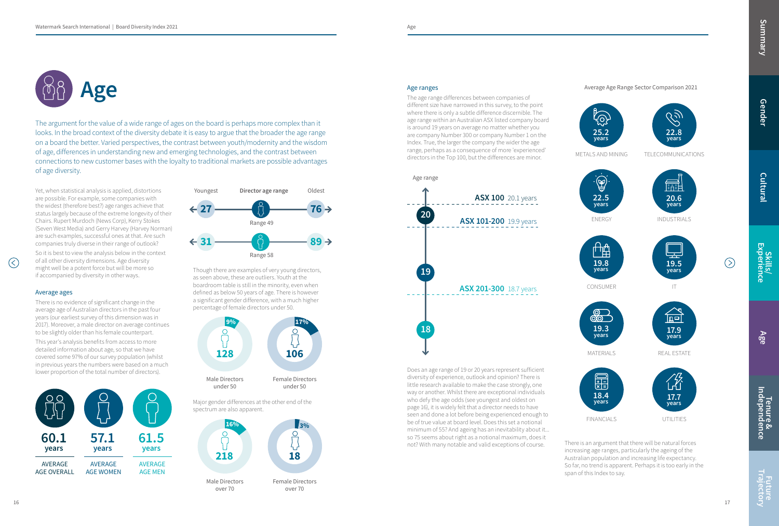Future<br>Trajectory

Summary



Yet, when statistical analysis is applied, distortions are possible. For example, some companies with the widest (therefore best?) age ranges achieve that status largely because of the extreme longevity of their Chairs. Rupert Murdoch (News Corp), Kerry Stokes (Seven West Media) and Gerry Harvey (Harvey Norman) are such examples, successful ones at that. Are such companies truly diverse in their range of outlook?

So it is best to view the analysis below in the context of all other diversity dimensions. Age diversity might well be a potent force but will be more so if accompanied by diversity in other ways.

### Average ages

 $\left(\right)$ 

There is no evidence of significant change in the average age of Australian directors in the past four years (our earliest survey of this dimension was in 2017). Moreover, a male director on average continues to be slightly older than his female counterpart.

This year's analysis benefits from access to more detailed information about age, so that we have covered some 97% of our survey population (whilst in previous years the numbers were based on a much lower proportion of the total number of directors).

Though there are examples of very young directors, as seen above, these are outliers. Youth at the boardroom table is still in the minority, even when defined as below 50 years of age. There is however a significant gender difference, with a much higher percentage of female directors under 50.

Major gender differences at the other end of the spectrum are also apparent.

The argument for the value of a wide range of ages on the board is perhaps more complex than it looks. In the broad context of the diversity debate it is easy to argue that the broader the age range on a board the better. Varied perspectives, the contrast between youth/modernity and the wisdom of age, differences in understanding new and emerging technologies, and the contrast between connections to new customer bases with the loyalty to traditional markets are possible advantages of age diversity.

## Age ranges

The age range differences between companies of different size have narrowed in this survey, to the point where there is only a subtle difference discernible. The age range within an Australian ASX listed company board is around 19 years on average no matter whether you are company Number 300 or company Number 1 on the Index. True, the larger the company the wider the age range, perhaps as a consequence of more 'experienced' directors in the Top 100, but the differences are minor.

Does an age range of 19 or 20 years represent sufficient diversity of experience, outlook and opinion? There is little research available to make the case strongly, one way or another. Whilst there are exceptional individuals who defy the age odds (see youngest and oldest on page 16), it is widely felt that a director needs to have seen and done a lot before being experienced enough to be of true value at board level. Does this set a notional minimum of 55? And ageing has an inevitability about it... so 75 seems about right as a notional maximum, does it not? With many notable and valid exceptions of course.







## Average Age Range Sector Comparison 2021

There is an argument that there will be natural forces increasing age ranges, particularly the ageing of the Australian population and increasing life expectancy. So far, no trend is apparent. Perhaps it is too early in the span of this Index to say.





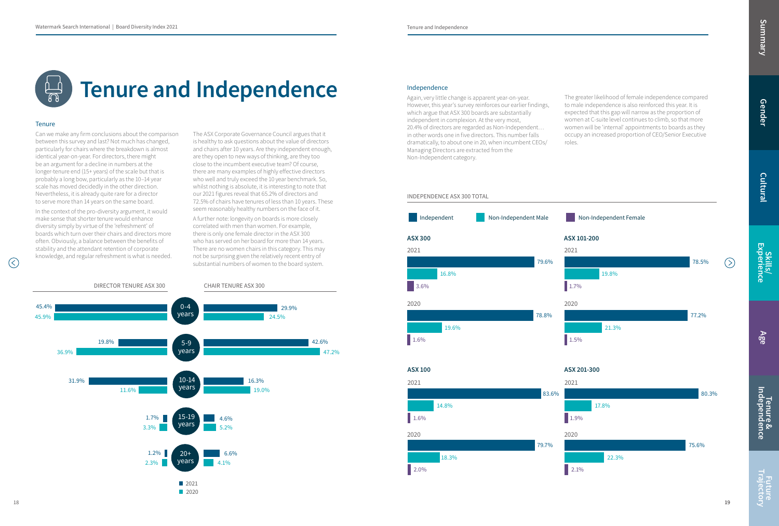## Tenure and Independence

## **Tenure**

Can we make any firm conclusions about the comparison between this survey and last? Not much has changed, particularly for chairs where the breakdown is almost identical year-on-year. For directors, there might be an argument for a decline in numbers at the longer-tenure end (15+ years) of the scale but that is probably a long bow, particularly as the 10–14 year scale has moved decidedly in the other direction. Nevertheless, it is already quite rare for a director to serve more than 14 years on the same board.

In the context of the pro-diversity argument, it would make sense that shorter tenure would enhance diversity simply by virtue of the 'refreshment' of boards which turn over their chairs and directors more often. Obviously, a balance between the benefits of stability and the attendant retention of corporate knowledge, and regular refreshment is what is needed.



The ASX Corporate Governance Council argues that it is healthy to ask questions about the value of directors and chairs after 10 years. Are they independent enough, are they open to new ways of thinking, are they too close to the incumbent executive team? Of course, there are many examples of highly effective directors who well and truly exceed the 10 year benchmark. So, whilst nothing is absolute, it is interesting to note that our 2021 figures reveal that 65.2% of directors and 72.5% of chairs have tenures of less than 10 years. These seem reasonably healthy numbers on the face of it.

A further note: longevity on boards is more closely correlated with men than women. For example, there is only one female director in the ASX 300 who has served on her board for more than 14 years. There are no women chairs in this category. This may not be surprising given the relatively recent entry of substantial numbers of women to the board system.

## INDEPENDENCE ASX 300 TOTAL

### Independence

Again, very little change is apparent year-on-year. However, this year's survey reinforces our earlier findings, which argue that ASX 300 boards are substantially independent in complexion. At the very most, 20.4% of directors are regarded as Non-Independent… in other words one in five directors. This number falls dramatically, to about one in 20, when incumbent CEOs/ Managing Directors are extracted from the Non-Independent category.

The greater likelihood of female independence compared to male independence is also reinforced this year. It is expected that this gap will narrow as the proportion of women at C-suite level continues to climb, so that more women will be 'internal' appointments to boards as they occupy an increased proportion of CEO/Senior Executive roles.



 $\mathcal{L}$ 

Gender

Cultural

Skills/ Experience

Age

Tenure & Independence Future Trajectory Summary

**Future**<br>Trajectory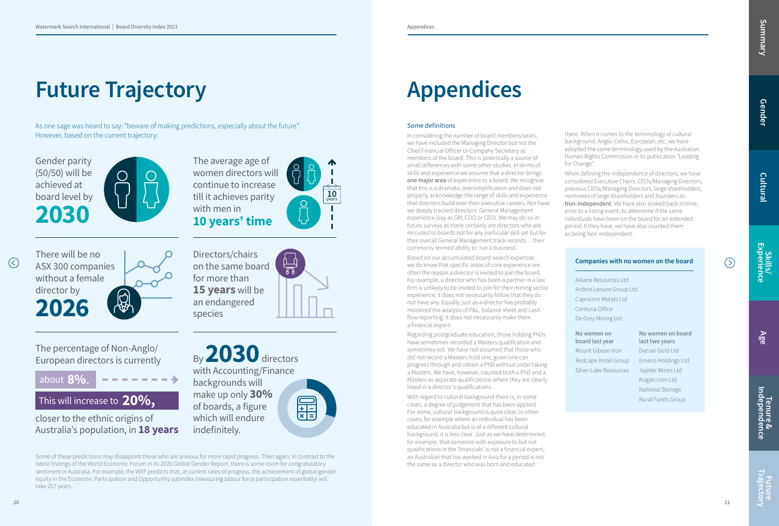## Future Trajectory

As one sage was heard to say: "beware of making predictions, especially about the future". However, based on the current trajectory:

Some of these predictions may disappoint those who are anxious for more rapid progress. Then again, in contrast to the latest findings of the World Economic Forum in its 2020 Global Gender Report, there is some room for congratulatory sentiment in Australia. For example, the WEF predicts that, at current rates of progress, the achievement of global gender equity in the Economic Participation and Opportunity subindex (measuring labour force participation essentially) will take 257 years.

By 2030 directors with Accounting/Finance backgrounds will make up only 30% of boards, a figure which will endure indefinitely.



Gender parity (50/50) will be achieved at board level by 2030





The percentage of Non-Anglo/ European directors is currently

about 8%.

## This will increase to  $20\%$  ,

closer to the ethnic origins of Australia's population, in 18 years



Directors/chairs on the same board for more than 15 years will be an endangered species

## Some definitions

In considering the number of board members/seats, we have included the Managing Director but not the Chief Financial Officer or Company Secretary as members of the board. This is potentially a source of small differences with some other studies. In terms of skills and experience we assume that a director brings one major area of experience to a board. We recognise that this is a dramatic oversimplification and does not properly acknowledge the range of skills and experience that directors build over their executive careers. Nor have we deeply tracked directors' General Management experience (say as GM, COO or CEO). We may do so in future surveys as there certainly are directors who are recruited to boards not for any particular skill set but for their overall General Management track records… their commonly termed ability to 'run a business'.

**Tenure &<br>Independence** Future Trajectory Summary

Future<br>Trajector)

Based on our accumulated board-search expertise, we do know that specific areas of core experience are often the reason a director is invited to join the board. For example, a director who has been a partner in a law firm is unlikely to be invited to join for their mining sector experience; it does not necessarily follow that they do not have any. Equally, just as a director has probably mastered the analysis of P&L, balance sheet and cash flow reporting, it does not necessarily make them a financial expert.

Regarding postgraduate education, those holding PhDs have sometimes recorded a Masters qualification and sometimes not. We have not assumed that those who did not record a Masters hold one, given one can progress through and obtain a PhD without undertaking a Masters. We have, however, counted both a PhD and a Masters as separate qualifications where they are clearly listed in a director's qualifications.

With regard to cultural background there is, in some cases, a degree of judgement that has been applied. For some, cultural background is quite clear; in other cases, for example where an individual has been educated in Australia but is of a different cultural background, it is less clear. Just as we have determined, for example, that someone with exposure to but not qualifications in the 'financials' is not a financial expert, an Australian that has worked in Asia for a period is not the same as a director who was born and educated

 $\circledcirc$ 

there. When it comes to the terminology of cultural background, Anglo-Celtic, European, etc, we have adopted the same terminology used by the Australian Human Rights Commission in its publication "Leading for Change".

When defining the independence of directors, we have considered Executive Chairs, CEOs/Managing Directors, previous CEOs/Managing Directors, large shareholders, nominees of large shareholders and founders as Non-Independent. We have also looked back in time, prior to a listing event, to determine if the same individuals have been on the board for an extended period. If they have, we have also counted them as being Non-Independent.

## Companies with no women on the board

Alkane Resources Ltd Ardent Leisure Group Ltd Capricorn Metals Ltd Centuria Office De Grey Mining Ltd

## No women on board last year

Mount Gibson Iron Redcape Hotel Group Silver Lake Resources

## No women on board last two years

Dacian Gold Ltd Emeco Holdings Ltd Jupiter Mines Ltd Kogan.com Ltd National Storage Rural Funds Group







## Appendices

Gender

Summary

Cultural

Skills/ Experience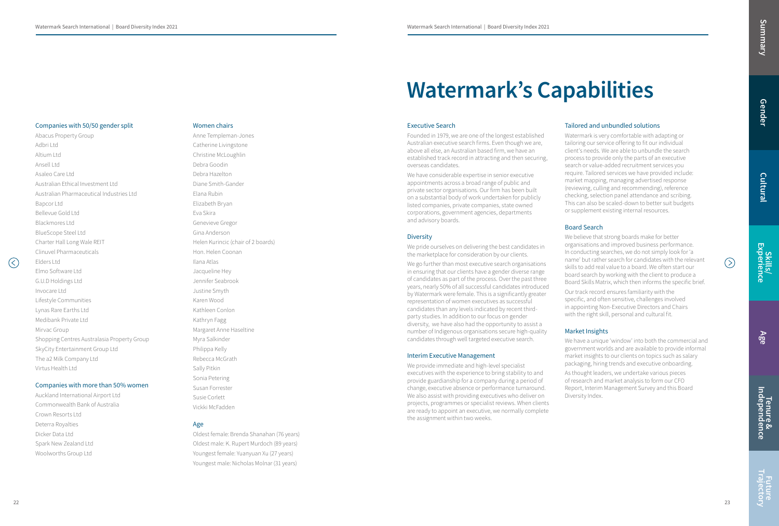### Companies with 50/50 gender split

Abacus Property Group Adbri Ltd Altium Ltd Ansell Ltd Asaleo Care Ltd Australian Ethical Investment Ltd Australian Pharmaceutical Industries Ltd Bapcor Ltd Bellevue Gold Ltd Blackmores Ltd BlueScope Steel Ltd Charter Hall Long Wale REIT Clinuvel Pharmaceuticals Elders Ltd Elmo Software Ltd G.U.D Holdings Ltd Invocare Ltd Lifestyle Communities Lynas Rare Earths Ltd Medibank Private Ltd Mirvac Group Shopping Centres Australasia Property Group SkyCity Entertainment Group Ltd The a2 Milk Company Ltd Virtus Health Ltd

### Companies with more than 50% women

Auckland International Airport Ltd Commonwealth Bank of Australia Crown Resorts Ltd Deterra Royalties Dicker Data Ltd Spark New Zealand Ltd Woolworths Group Ltd

### Women chairs

## Anne Templeman-Jones Catherine Livingstone Christine McLoughlin Debra Goodin Debra Hazelton Diane Smith-Gander Elana Rubin Elizabeth Bryan Eva Skira Genevieve Gregor Gina Anderson Helen Kurincic (chair of 2 boards) Hon. Helen Coonan Ilana Atlas Jacqueline Hey Jennifer Seabrook Justine Smyth Karen Wood Kathleen Conlon Kathryn Fagg Margaret Anne Haseltine Myra Salkinder Philippa Kelly Rebecca McGrath Sally Pitkin Sonia Petering Susan Forrester Susie Corlett Vickki McFadden

## Age

We go further than most executive search organisations in ensuring that our clients have a gender diverse range of candidates as part of the process. Over the past three years, nearly 50% of all successful candidates introduced by Watermark were female. This is a significantly greater representation of women executives as successful candidates than any levels indicated by recent thirdparty studies. In addition to our focus on gender diversity, we have also had the opportunity to assist a number of Indigenous organisations secure high-quality candidates through well targeted executive search.

Oldest female: Brenda Shanahan (76 years) Oldest male: K. Rupert Murdoch (89 years) Youngest female: Yuanyuan Xu (27 years) Youngest male: Nicholas Molnar (31 years)

## Watermark's Capabilities

### Executive Search

Founded in 1979, we are one of the longest established Australian executive search firms. Even though we are, above all else, an Australian based firm, we have an established track record in attracting and then securing, overseas candidates.

We have considerable expertise in senior executive appointments across a broad range of public and private sector organisations. Our firm has been built on a substantial body of work undertaken for publicly listed companies, private companies, state owned corporations, government agencies, departments and advisory boards.

## **Diversity**

We pride ourselves on delivering the best candidates in the marketplace for consideration by our clients.

Tenure &<br>Independence Future Trajectory Summary

Future<br>Trajectory

## Interim Executive Management

We provide immediate and high-level specialist executives with the experience to bring stability to and provide guardianship for a company during a period of change, executive absence or performance [turnaround.](http://turnaround.We)  [We](http://turnaround.We) also assist with providing executives who deliver on projects, programmes or specialist reviews. When clients are ready to appoint an executive, we normally complete the assignment within two weeks.

 $\mathcal{L}$ 

## Tailored and unbundled solutions

Watermark is very comfortable with adapting or tailoring our service offering to fit our individual client's needs. We are able to unbundle the search process to provide only the parts of an executive search or value-added recruitment services you require. Tailored services we have provided include: market mapping, managing advertised response (reviewing, culling and recommending), reference checking, selection panel attendance and scribing. This can also be scaled-down to better suit budgets or supplement existing internal resources.

## Board Search

We believe that strong boards make for better organisations and improved business performance. In conducting searches, we do not simply look for 'a name' but rather search for candidates with the relevant skills to add real value to a board. We often start our board search by working with the client to produce a Board Skills Matrix, which then informs the specific brief.

Our track record ensures familiarity with the specific, and often sensitive, challenges involved in appointing Non-Executive Directors and Chairs with the right skill, personal and cultural fit.

## Market Insights

We have a unique 'window' into both the commercial and government worlds and are available to provide informal market insights to our clients on topics such as salary packaging, hiring trends and executive onboarding.

As thought leaders, we undertake various pieces of research and market analysis to form our CFO Report, Interim Management Survey and this Board Diversity Index.

Gender

Cultural

Skills/<br>Experience